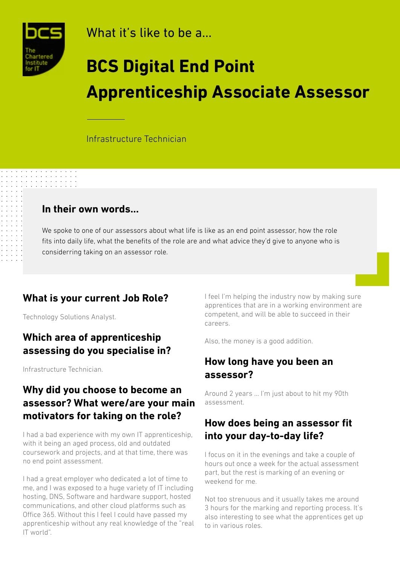

What it's like to be a...

# **BCS Digital End Point Apprenticeship Associate Assessor**

Infrastructure Technician

#### **In their own words...**

We spoke to one of our assessors about what life is like as an end point assessor, how the role fits into daily life, what the benefits of the role are and what advice they'd give to anyone who is considerring taking on an assessor role.

#### **What is your current Job Role?**

Technology Solutions Analyst.

### **Which area of apprenticeship assessing do you specialise in?**

Infrastructure Technician.

#### **Why did you choose to become an assessor? What were/are your main motivators for taking on the role?**

I had a bad experience with my own IT apprenticeship, with it being an aged process, old and outdated coursework and projects, and at that time, there was no end point assessment.

I had a great employer who dedicated a lot of time to me, and I was exposed to a huge variety of IT including hosting, DNS, Software and hardware support, hosted communications, and other cloud platforms such as Office 365. Without this I feel I could have passed my apprenticeship without any real knowledge of the "real IT world".

I feel I'm helping the industry now by making sure apprentices that are in a working environment are competent, and will be able to succeed in their careers.

Also, the money is a good addition.

#### **How long have you been an assessor?**

Around 2 years … I'm just about to hit my 90th assessment.

#### **How does being an assessor fit into your day-to-day life?**

I focus on it in the evenings and take a couple of hours out once a week for the actual assessment part, but the rest is marking of an evening or weekend for me.

Not too strenuous and it usually takes me around 3 hours for the marking and reporting process. It's also interesting to see what the apprentices get up to in various roles.